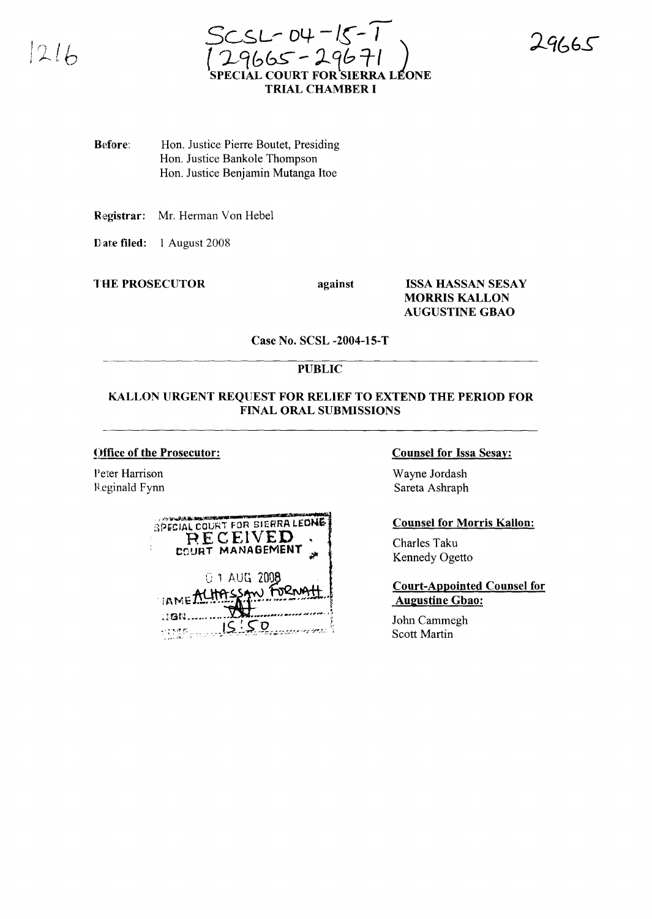

4665

Before: Hon. Justice Pierre Boutet, Presiding Hon. Justice Bankole Thompson Hon. Justice Benjamin Mutanga Itoe

Registrar: Mr. Herman Von Hebel

Date filed: 1 August 2008

**THE PROSECUTOR** 

against

**ISSA HASSAN SESAY MORRIS KALLON AUGUSTINE GBAO** 

Case No. SCSL -2004-15-T

## **PUBLIC**

### KALLON URGENT REQUEST FOR RELIEF TO EXTEND THE PERIOD FOR **FINAL ORAL SUBMISSIONS**

### Office of the Prosecutor:

Peter Harrison Reginald Fynn

| SPECIAL COURT FOR SIERRA LEONE |  |
|--------------------------------|--|
| RECEIVED                       |  |
| COURT MANAGEMENT               |  |
| 01 AUG 2008                    |  |
| IAME ALHASSAN FORNAT           |  |
| . 10N                          |  |
|                                |  |

#### **Counsel for Issa Sesay:**

Wayne Jordash Sareta Ashraph

### **Counsel for Morris Kallon:**

Charles Taku Kennedy Ogetto

### **Court-Appointed Counsel for Augustine Gbao:**

John Cammegh **Scott Martin**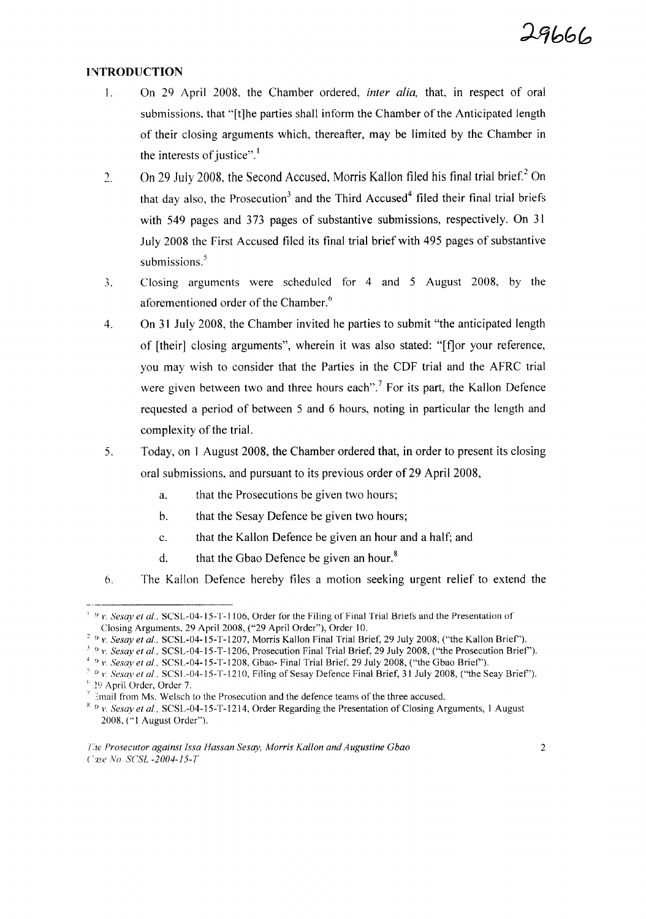### **INTRODUCTION**

- 1. On 29 April 2008, the Chamber ordered, *inter alia,* that, in respect of oral submissions, that "[t]he parties shall inform the Chamber of the Anticipated length of their closing arguments which, thereafter, may be limited by the Chamber in the interests of justice".<sup>1</sup>
- 2. On 29 July 2008, the Second Accused, Morris Kallon filed his final trial brief.<sup>2</sup> On that day also, the Prosecution<sup>3</sup> and the Third Accused<sup>4</sup> filed their final trial briefs with 549 pages and 373 pages of substantive submissions, respectively. On 31 July 2008 the First Accused filed its final trial brief with 495 pages of substantive submissions. $5$
- 3. Closing arguments were scheduled for 4 and 5 August 2008, by the aforementioned order of the Chamber.<sup>6</sup>
- 4. On 31 July 2008, the Chamber invited he parties to submit "the anticipated length of [their] closing arguments", wherein it was also stated: "[fJor your reference, you may wish to consider that the Parties in the CDF trial and the AFRC trial were given between two and three hours each".<sup>7</sup> For its part, the Kallon Defence requested a period of between 5 and 6 hours, noting in particular the length and complexity of the trial.
- 5. Today, on 1 August 2008, the Chamber ordered that, in order to present its closing oral submissions, and pursuant to its previous order of29 April 2008,
	- a. that the Prosecutions be given two hours;
	- b. that the Sesay Defence be given two hours;
	- c. that the KaHon Defence be given an hour and a half; and
	- d. that the Gbao Defence be given an hour.<sup>8</sup>
- 6. The Kallon Defence hereby files a motion seeking urgent relief to extend the

<sup>&</sup>lt;sup>1</sup> D v. *Sesay et al.*, SCSL-04-15-T-1106, Order for the Filing of Final Trial Briefs and the Presentation of Closing Arguments, 29 April 2008, ("29 April Order"), Order 10.

<sup>&</sup>lt;sup>2</sup> D</sup> *v. Sesay et al.*, SCSL-04-15-T-1207, Morris Kallon Final Trial Brief, 29 July 2008, ("the Kallon Brief").

<sup>&</sup>lt;sup>3</sup> D *v. Sesay et al.*, SCSL-04-15-T-1206, Prosecution Final Trial Brief, 29 July 2008, ("the Prosecution Brief").

<sup>4</sup> <sup>D</sup> *v. Sesay et aI.,* SCSL-04-15-T-1208, Gbao- Final Trial Brief, 29 July 2008, ("the Gbao Brief').

<sup>&</sup>lt;sup>5</sup> D V. Sesay et al., SCSL-04-15-T-1210, Filing of Sesay Defence Final Brief, 31 July 2008, ("the Seay Brief").  $^6$  29 April Order, Order 7.

 $<sup>7</sup>$  Email from Ms. Welsch to the Prosecution and the defence teams of the three accused.</sup>

<sup>&</sup>lt;sup>8</sup> <sup>D</sup> v. *Sesay et al.*, SCSL-04-15-T-1214, Order Regarding the Presentation of Closing Arguments, 1 August 2008. ("I August Order").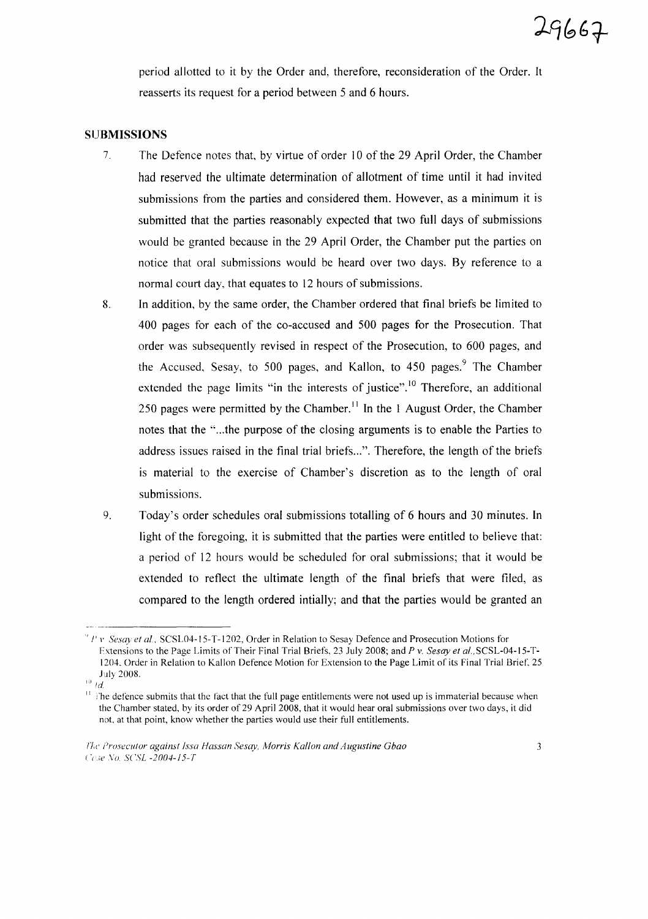period allotted to it by the Order and, therefore, reconsideration of the Order. It reasserts its request for a period between 5 and 6 hours.

#### **SUBMISSIONS**

- 7 The Defence notes that, by virtue of order 10 of the 29 April Order, the Chamber had reserved the ultimate determination of allotment of time until it had invited submissions from the parties and considered them. However, as a minimum it is submitted that the parties reasonably expected that two full days of submissions would be granted because in the 29 April Order, the Chamber put the parties on notice that oral submissions would be heard over two days. By reference to a normal court day, that equates to 12 hours of submissions.
- 8. In addition, by the same order, the Chamber ordered that final briefs be limited to 400 pages for each of the co-accused and 500 pages for the Prosecution. That order was subsequently revised in respect of the Prosecution, to 600 pages, and the Accused, Sesay, to 500 pages, and Kallon, to 450 pages.<sup>9</sup> The Chamber extended the page limits "in the interests of justice".<sup>10</sup> Therefore, an additional 250 pages were permitted by the Chamber.<sup>11</sup> In the 1 August Order, the Chamber notes that the "...the purpose of the closing arguments is to enable the Parties to address issues raised in the final trial briefs...". Therefore, the length of the briefs is material to the exercise of Chamber's discretion as to the length of oral submissions.
- 9. Today's order schedules oral submissions totalling of 6 hours and 30 minutes. In light of the foregoing, it is submitted that the parties were entitled to believe that: a period of 12 hours would be scheduled for oral submissions; that it would be extended to reflect the ultimate length of the final briefs that were filed, as compared to the length ordered intially; and that the parties would be granted an

<sup>&</sup>quot; J' l' *Sesay et aI,* SCSL04-15-T-1202, Order in Relation to Sesay Defence and Prosecution Motions for Extensions to the Page Limits of Their Final Trial Briefs, 23 July 2008; and *P* v. *Sesay et aI,* SCSL-04-15-T-1204. Order in Relation to Kallon Defence Motion for Extension to the Page Limit of its Final Trial Brief, 25 July 2008.

 $^{10}$  *!d.* 

 $\frac{11}{11}$  The defence submits that the fact that the full page entitlements were not used up is immaterial because when the Chamber stated, by its order of 29 April 2008, that it would hear oral submissions over two days, it did not, at that point, know whether the parties would use their full entitlements.

f'l,t' *Prosecutor against fssa Hassan Sesay, Morris Kallon and Augustine Gbao ('i;e* Vo SCSL -2004-f5-7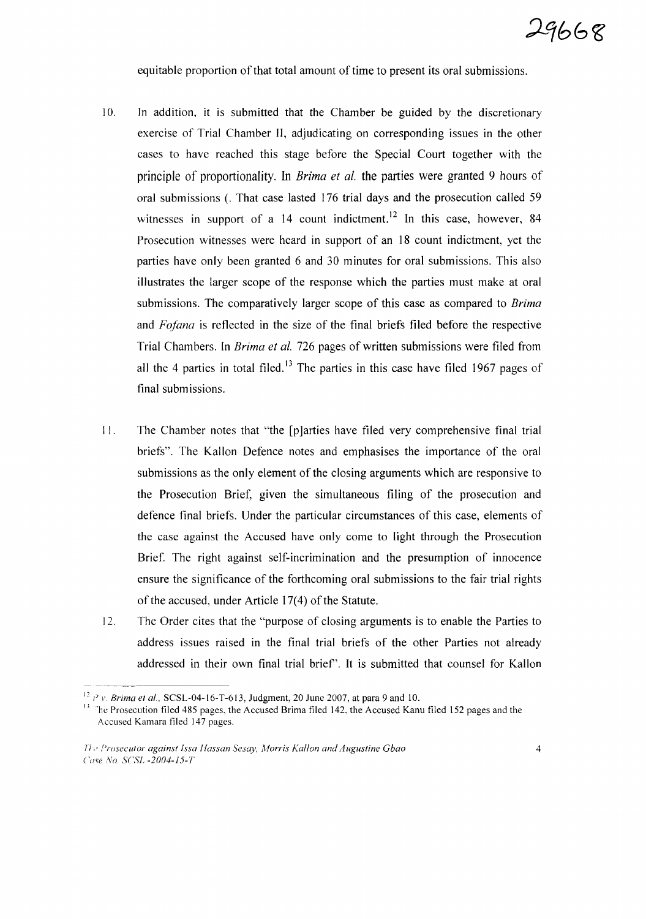equitable proportion of that total amount of time to present its oral submissions.

- 10. In addition, it is submitted that the Chamber be guided by the discretionary exercise of Trial Chamber **II,** adjudicating on corresponding issues in the other cases to have reached this stage before the Special Court together with the principle of proportionality. **In** *Brima et at.* the parties were granted 9 hours of oral submissions (. That case lasted 176 trial days and the prosecution called 59 witnesses in support of a  $14$  count indictment.<sup>12</sup> In this case, however, 84 Prosecution witnesses were heard in support of an 18 count indictment, yet the parties have only been granted 6 and 30 minutes for oral submissions. This also illustrates the larger scope of the response which the parties must make at oral submissions. The comparatively larger scope of this case as compared to *Brima* and *Fafana* is reflected in the size of the final briefs filed before the respective Trial Chambers. In *Brima et al.* 726 pages of written submissions were filed from all the 4 parties in total filed.<sup>13</sup> The parties in this case have filed 1967 pages of final submissions.
- I I. The Chamber notes that "the [p]arties have filed very comprehensive final trial briefs". The Kallon Defence notes and emphasises the importance of the oral submissions as the only element of the closing arguments which are responsive to the Prosecution Brief, given the simultaneous filing of the prosecution and defence final briefs. Under the particular circumstances of this case, elements of the case against the Accused have only come to light through the Prosecution Brief. The right against self-incrimination and the presumption of innocence ensure the significance of the forthcoming oral submissions to the fair trial rights of the accused, under Article  $17(4)$  of the Statute.
- 12. The Order cites that the "purpose of closing arguments is to enable the Parties to address issues raised in the final trial briefs of the other Parties not already addressed in their own final trial brief'. It is submitted that counsel for Kallon

<sup>12</sup> *P v. Brima et al.*, SCSL-04-16-T-613, Judgment, 20 June 2007, at para 9 and 10.

<sup>&</sup>lt;sup>13</sup> The Prosecution filed 485 pages, the Accused Brima filed 142, the Accused Kanu filed 152 pages and the Accused Kamara filed 147 pages.

n" *Prosecutor against Issa Hassan S'esay, Morris Kallon and Augustine Ghao* Case No. *SCSL* -2004-15-T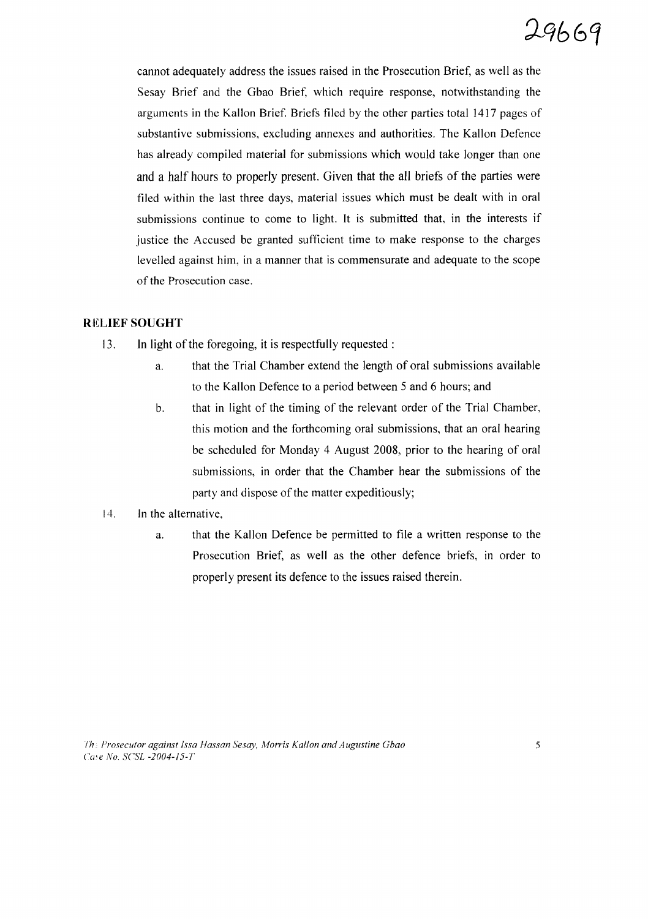cannot adequately address the issues raised in the Prosecution Brief, as well as the Sesay Brief and the Gbao Brief, which require response, notwithstanding the arguments in the Kallon Brief. Briefs filed by the other parties total 1417 pages of substantive submissions, excluding annexes and authorities. The Kallon Defence has already compiled material for submissions which would take longer than one and a half hours to properly present. Given that the all briefs of the parties were filed within the last three days, material issues which must be dealt with in oral submissions continue to come to light. It is submitted that, in the interests if justice the Accused be granted sufficient time to make response to the charges levelled against him, in a manner that is commensurate and adequate to the scope of the Prosecution case.

### **RELIEF SOUGHT**

- 13. In light of the foregoing, it is respectfully requested:
	- a. that the Trial Chamber extend the length of oral submissions available to the Kallon Defence to a period between 5 and 6 hours; and
	- b. that in light of the timing of the relevant order of the Trial Chamber, this motion and the forthcoming oral submissions, that an oral hearing be scheduled for Monday 4 August 2008, prior to the hearing of oral submissions, in order that the Chamber hear the submissions of the party and dispose of the matter expeditiously;

## 14. In the alternative,

a. that the Kallon Defence be permitted to file a written response to the Prosecution Brief, as well as the other defence briefs, in order to properly present its defence to the issues raised therein.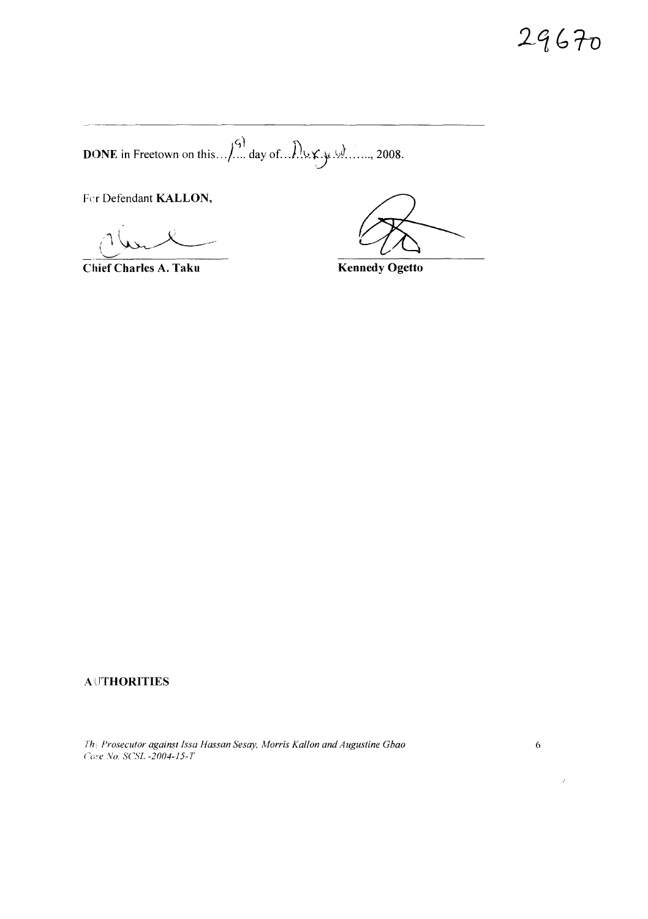29670

**DONE** in Freetown on this  $\left(\frac{c_1}{c_2}\right)^{1/2}$  day of  $\left(\frac{c_1}{c_2}\right)^{1/2}$  ..., 2008.

Fer Defendant KALLON,

Chief Charles A. Taku

**Kennedy Ogetto** 

# **AUTHORITIES**

Th: Prosecutor against Issa Hassan Sesay, Morris Kallon and Augustine Gbao Case No. SCSL -2004-15-T

 $\bar{r}$